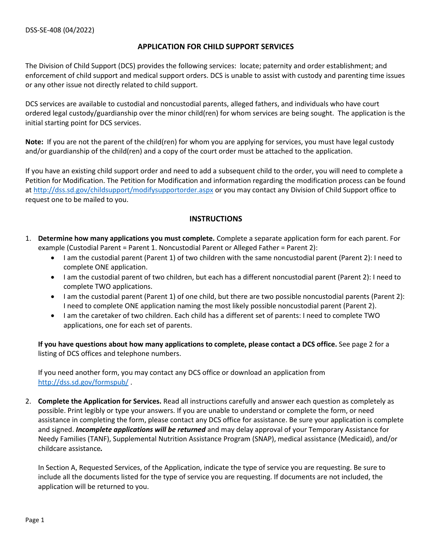## **APPLICATION FOR CHILD SUPPORT SERVICES**

The Division of Child Support (DCS) provides the following services: locate; paternity and order establishment; and enforcement of child support and medical support orders. DCS is unable to assist with custody and parenting time issues or any other issue not directly related to child support.

DCS services are available to custodial and noncustodial parents, alleged fathers, and individuals who have court ordered legal custody/guardianship over the minor child(ren) for whom services are being sought. The application is the initial starting point for DCS services.

**Note:** If you are not the parent of the child(ren) for whom you are applying for services, you must have legal custody and/or guardianship of the child(ren) and a copy of the court order must be attached to the application.

If you have an existing child support order and need to add a subsequent child to the order, you will need to complete a Petition for Modification. The Petition for Modification and information regarding the modification process can be found at<http://dss.sd.gov/childsupport/modifysupportorder.aspx> or you may contact any Division of Child Support office to request one to be mailed to you.

## **INSTRUCTIONS**

- 1. **Determine how many applications you must complete.** Complete a separate application form for each parent. For example (Custodial Parent = Parent 1. Noncustodial Parent or Alleged Father = Parent 2):
	- I am the custodial parent (Parent 1) of two children with the same noncustodial parent (Parent 2): I need to complete ONE application.
	- I am the custodial parent of two children, but each has a different noncustodial parent (Parent 2): I need to complete TWO applications.
	- I am the custodial parent (Parent 1) of one child, but there are two possible noncustodial parents (Parent 2): I need to complete ONE application naming the most likely possible noncustodial parent (Parent 2).
	- I am the caretaker of two children. Each child has a different set of parents: I need to complete TWO applications, one for each set of parents.

**If you have questions about how many applications to complete, please contact a DCS office.** See page 2 for a listing of DCS offices and telephone numbers.

If you need another form, you may contact any DCS office or download an application from <http://dss.sd.gov/formspub/> .

2. **Complete the Application for Services.** Read all instructions carefully and answer each question as completely as possible. Print legibly or type your answers. If you are unable to understand or complete the form, or need assistance in completing the form, please contact any DCS office for assistance. Be sure your application is complete and signed. *Incomplete applications will be returned* and may delay approval of your Temporary Assistance for Needy Families (TANF), Supplemental Nutrition Assistance Program (SNAP), medical assistance (Medicaid), and/or childcare assistance*.* 

In Section A, Requested Services, of the Application, indicate the type of service you are requesting. Be sure to include all the documents listed for the type of service you are requesting. If documents are not included, the application will be returned to you.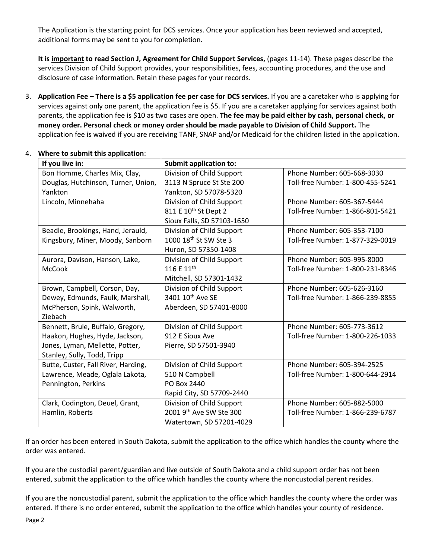The Application is the starting point for DCS services. Once your application has been reviewed and accepted, additional forms may be sent to you for completion.

**It is important to read Section J, Agreement for Child Support Services,** (pages 11-14). These pages describe the services Division of Child Support provides, your responsibilities, fees, accounting procedures, and the use and disclosure of case information. Retain these pages for your records.

3. **Application Fee – There is a \$5 application fee per case for DCS services.** If you are a caretaker who is applying for services against only one parent, the application fee is \$5. If you are a caretaker applying for services against both parents, the application fee is \$10 as two cases are open. **The fee may be paid either by cash, personal check, or money order. Personal check or money order should be made payable to Division of Child Support.** The application fee is waived if you are receiving TANF, SNAP and/or Medicaid for the children listed in the application.

| If you live in:                     | <b>Submit application to:</b>     |                                  |
|-------------------------------------|-----------------------------------|----------------------------------|
| Bon Homme, Charles Mix, Clay,       | Division of Child Support         | Phone Number: 605-668-3030       |
| Douglas, Hutchinson, Turner, Union, | 3113 N Spruce St Ste 200          | Toll-free Number: 1-800-455-5241 |
| Yankton                             | Yankton, SD 57078-5320            |                                  |
| Lincoln, Minnehaha                  | Division of Child Support         | Phone Number: 605-367-5444       |
|                                     | 811 E 10 <sup>th</sup> St Dept 2  | Toll-free Number: 1-866-801-5421 |
|                                     | Sioux Falls, SD 57103-1650        |                                  |
| Beadle, Brookings, Hand, Jerauld,   | Division of Child Support         | Phone Number: 605-353-7100       |
| Kingsbury, Miner, Moody, Sanborn    | 1000 18 <sup>th</sup> St SW Ste 3 | Toll-free Number: 1-877-329-0019 |
|                                     | Huron, SD 57350-1408              |                                  |
| Aurora, Davison, Hanson, Lake,      | Division of Child Support         | Phone Number: 605-995-8000       |
| <b>McCook</b>                       | 116 E 11 <sup>th</sup>            | Toll-free Number: 1-800-231-8346 |
|                                     | Mitchell, SD 57301-1432           |                                  |
| Brown, Campbell, Corson, Day,       | Division of Child Support         | Phone Number: 605-626-3160       |
| Dewey, Edmunds, Faulk, Marshall,    | 3401 10 <sup>th</sup> Ave SE      | Toll-free Number: 1-866-239-8855 |
| McPherson, Spink, Walworth,         | Aberdeen, SD 57401-8000           |                                  |
| Ziebach                             |                                   |                                  |
| Bennett, Brule, Buffalo, Gregory,   | Division of Child Support         | Phone Number: 605-773-3612       |
| Haakon, Hughes, Hyde, Jackson,      | 912 E Sioux Ave                   | Toll-free Number: 1-800-226-1033 |
| Jones, Lyman, Mellette, Potter,     | Pierre, SD 57501-3940             |                                  |
| Stanley, Sully, Todd, Tripp         |                                   |                                  |
| Butte, Custer, Fall River, Harding, | Division of Child Support         | Phone Number: 605-394-2525       |
| Lawrence, Meade, Oglala Lakota,     | 510 N Campbell                    | Toll-free Number: 1-800-644-2914 |
| Pennington, Perkins                 | PO Box 2440                       |                                  |
|                                     | Rapid City, SD 57709-2440         |                                  |
| Clark, Codington, Deuel, Grant,     | Division of Child Support         | Phone Number: 605-882-5000       |
| Hamlin, Roberts                     | 2001 9th Ave SW Ste 300           | Toll-free Number: 1-866-239-6787 |
|                                     | Watertown, SD 57201-4029          |                                  |

## 4. **Where to submit this application**:

If an order has been entered in South Dakota, submit the application to the office which handles the county where the order was entered.

If you are the custodial parent/guardian and live outside of South Dakota and a child support order has not been entered, submit the application to the office which handles the county where the noncustodial parent resides.

If you are the noncustodial parent, submit the application to the office which handles the county where the order was entered. If there is no order entered, submit the application to the office which handles your county of residence.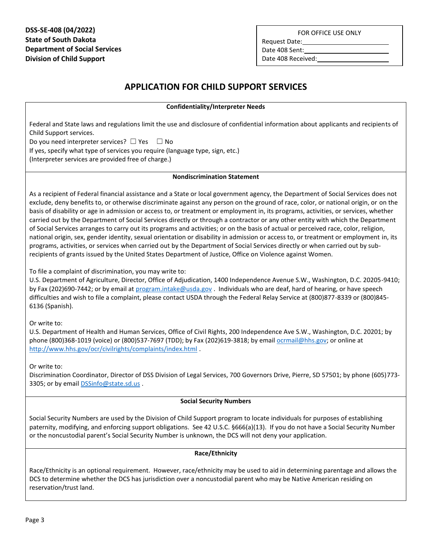FOR OFFICE USE ONLY

**DSS-SE-408 (04/2022) State of South Dakota Department of Social Services Division of Child Support**

Request Date:

Date 408 Sent:

Date 408 Received:

# **APPLICATION FOR CHILD SUPPORT SERVICES**

### **Confidentiality/Interpreter Needs**

Federal and State laws and regulations limit the use and disclosure of confidential information about applicants and recipients of Child Support services.

Do you need interpreter services?  $\Box$  Yes  $\Box$  No

If yes, specify what type of services you require (language type, sign, etc.) (Interpreter services are provided free of charge.)

### **Nondiscrimination Statement**

As a recipient of Federal financial assistance and a State or local government agency, the Department of Social Services does not exclude, deny benefits to, or otherwise discriminate against any person on the ground of race, color, or national origin, or on the basis of disability or age in admission or access to, or treatment or employment in, its programs, activities, or services, whether carried out by the Department of Social Services directly or through a contractor or any other entity with which the Department of Social Services arranges to carry out its programs and activities; or on the basis of actual or perceived race, color, religion, national origin, sex, gender identity, sexual orientation or disability in admission or access to, or treatment or employment in, its programs, activities, or services when carried out by the Department of Social Services directly or when carried out by subrecipients of grants issued by the United States Department of Justice, Office on Violence against Women.

To file a complaint of discrimination, you may write to:

U.S. Department of Agriculture, Director, Office of Adjudication, 1400 Independence Avenue S.W., Washington, D.C. 20205-9410; by Fax (202)690-7442; or by email a[t program.intake@usda.gov](mailto:program.intake@usda.gov) . Individuals who are deaf, hard of hearing, or have speech difficulties and wish to file a complaint, please contact USDA through the Federal Relay Service at (800)877-8339 or (800)845- 6136 (Spanish).

Or write to:

U.S. Department of Health and Human Services, Office of Civil Rights, 200 Independence Ave S.W., Washington, D.C. 20201; by phone (800)368-1019 (voice) or (800)537-7697 (TDD); by Fax (202)619-3818; by emai[l ocrmail@hhs.gov;](mailto:ocrmail@hhs.gov) or online at <http://www.hhs.gov/ocr/civilrights/complaints/index.html> .

Or write to:

Discrimination Coordinator, Director of DSS Division of Legal Services, 700 Governors Drive, Pierre, SD 57501; by phone (605)773- 3305; or by email **DSSinfo@state.sd.us** .

### **Social Security Numbers**

Social Security Numbers are used by the Division of Child Support program to locate individuals for purposes of establishing paternity, modifying, and enforcing support obligations. See 42 U.S.C. §666(a)(13). If you do not have a Social Security Number or the noncustodial parent's Social Security Number is unknown, the DCS will not deny your application.

## **Race/Ethnicity**

Race/Ethnicity is an optional requirement. However, race/ethnicity may be used to aid in determining parentage and allows the DCS to determine whether the DCS has jurisdiction over a noncustodial parent who may be Native American residing on reservation/trust land.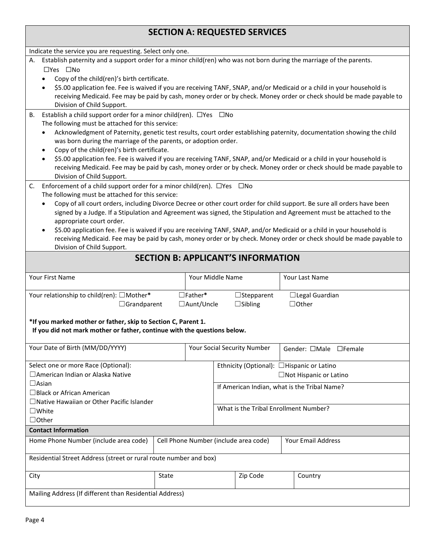| Indicate the service you are requesting. Select only one.                                                                                                                                 |                                                  |  |                                           |                                                                                                                      |  |  |  |  |  |
|-------------------------------------------------------------------------------------------------------------------------------------------------------------------------------------------|--------------------------------------------------|--|-------------------------------------------|----------------------------------------------------------------------------------------------------------------------|--|--|--|--|--|
| A. Establish paternity and a support order for a minor child(ren) who was not born during the marriage of the parents.                                                                    |                                                  |  |                                           |                                                                                                                      |  |  |  |  |  |
| $\square$ Yes $\square$ No                                                                                                                                                                |                                                  |  |                                           |                                                                                                                      |  |  |  |  |  |
| Copy of the child(ren)'s birth certificate.                                                                                                                                               |                                                  |  |                                           |                                                                                                                      |  |  |  |  |  |
| \$5.00 application fee. Fee is waived if you are receiving TANF, SNAP, and/or Medicaid or a child in your household is                                                                    |                                                  |  |                                           |                                                                                                                      |  |  |  |  |  |
| receiving Medicaid. Fee may be paid by cash, money order or by check. Money order or check should be made payable to                                                                      |                                                  |  |                                           |                                                                                                                      |  |  |  |  |  |
| Division of Child Support.                                                                                                                                                                |                                                  |  |                                           |                                                                                                                      |  |  |  |  |  |
| Establish a child support order for a minor child(ren). $\Box$ Yes $\Box$ No<br>В.                                                                                                        |                                                  |  |                                           |                                                                                                                      |  |  |  |  |  |
|                                                                                                                                                                                           | The following must be attached for this service: |  |                                           |                                                                                                                      |  |  |  |  |  |
| Acknowledgment of Paternity, genetic test results, court order establishing paternity, documentation showing the child<br>was born during the marriage of the parents, or adoption order. |                                                  |  |                                           |                                                                                                                      |  |  |  |  |  |
| Copy of the child(ren)'s birth certificate.<br>$\bullet$                                                                                                                                  |                                                  |  |                                           |                                                                                                                      |  |  |  |  |  |
| \$5.00 application fee. Fee is waived if you are receiving TANF, SNAP, and/or Medicaid or a child in your household is<br>$\bullet$                                                       |                                                  |  |                                           |                                                                                                                      |  |  |  |  |  |
|                                                                                                                                                                                           |                                                  |  |                                           | receiving Medicaid. Fee may be paid by cash, money order or by check. Money order or check should be made payable to |  |  |  |  |  |
| Division of Child Support.                                                                                                                                                                |                                                  |  |                                           |                                                                                                                      |  |  |  |  |  |
| Enforcement of a child support order for a minor child(ren). $\Box$ Yes $\Box$ No<br>C.                                                                                                   |                                                  |  |                                           |                                                                                                                      |  |  |  |  |  |
| The following must be attached for this service:                                                                                                                                          |                                                  |  |                                           |                                                                                                                      |  |  |  |  |  |
| Copy of all court orders, including Divorce Decree or other court order for child support. Be sure all orders have been<br>$\bullet$                                                      |                                                  |  |                                           |                                                                                                                      |  |  |  |  |  |
| signed by a Judge. If a Stipulation and Agreement was signed, the Stipulation and Agreement must be attached to the                                                                       |                                                  |  |                                           |                                                                                                                      |  |  |  |  |  |
| appropriate court order.                                                                                                                                                                  |                                                  |  |                                           |                                                                                                                      |  |  |  |  |  |
| \$5.00 application fee. Fee is waived if you are receiving TANF, SNAP, and/or Medicaid or a child in your household is<br>$\bullet$                                                       |                                                  |  |                                           |                                                                                                                      |  |  |  |  |  |
|                                                                                                                                                                                           |                                                  |  |                                           | receiving Medicaid. Fee may be paid by cash, money order or by check. Money order or check should be made payable to |  |  |  |  |  |
| Division of Child Support.                                                                                                                                                                |                                                  |  |                                           |                                                                                                                      |  |  |  |  |  |
|                                                                                                                                                                                           |                                                  |  | <b>SECTION B: APPLICANT'S INFORMATION</b> |                                                                                                                      |  |  |  |  |  |
|                                                                                                                                                                                           |                                                  |  |                                           |                                                                                                                      |  |  |  |  |  |
| Your First Name                                                                                                                                                                           | Your Middle Name                                 |  |                                           | Your Last Name                                                                                                       |  |  |  |  |  |
| Your relationship to child(ren): □Mother*                                                                                                                                                 | $\Box$ Father*                                   |  | $\Box$ Stepparent                         | $\Box$ Legal Guardian                                                                                                |  |  |  |  |  |
| $\Box$ Grandparent                                                                                                                                                                        | □Aunt/Uncle                                      |  | $\Box$ Sibling                            | $\Box$ Other                                                                                                         |  |  |  |  |  |
|                                                                                                                                                                                           |                                                  |  |                                           |                                                                                                                      |  |  |  |  |  |
| *If you marked mother or father, skip to Section C, Parent 1.                                                                                                                             |                                                  |  |                                           |                                                                                                                      |  |  |  |  |  |
| If you did not mark mother or father, continue with the questions below.                                                                                                                  |                                                  |  |                                           |                                                                                                                      |  |  |  |  |  |
|                                                                                                                                                                                           |                                                  |  |                                           |                                                                                                                      |  |  |  |  |  |
| Your Date of Birth (MM/DD/YYYY)                                                                                                                                                           |                                                  |  | Your Social Security Number               | Gender: □Male □Female                                                                                                |  |  |  |  |  |
|                                                                                                                                                                                           |                                                  |  |                                           |                                                                                                                      |  |  |  |  |  |
| Select one or more Race (Optional):                                                                                                                                                       |                                                  |  |                                           | Ethnicity (Optional): □Hispanic or Latino                                                                            |  |  |  |  |  |
| □ American Indian or Alaska Native                                                                                                                                                        |                                                  |  |                                           | □Not Hispanic or Latino                                                                                              |  |  |  |  |  |
| $\Box$ Asian                                                                                                                                                                              |                                                  |  |                                           | If American Indian, what is the Tribal Name?                                                                         |  |  |  |  |  |
| $\Box$ Black or African American                                                                                                                                                          |                                                  |  |                                           |                                                                                                                      |  |  |  |  |  |
| □Native Hawaiian or Other Pacific Islander                                                                                                                                                |                                                  |  |                                           | What is the Tribal Enrollment Number?                                                                                |  |  |  |  |  |
| $\square$ White                                                                                                                                                                           |                                                  |  |                                           |                                                                                                                      |  |  |  |  |  |
| $\Box$ Other                                                                                                                                                                              |                                                  |  |                                           |                                                                                                                      |  |  |  |  |  |
| <b>Contact Information</b>                                                                                                                                                                |                                                  |  |                                           |                                                                                                                      |  |  |  |  |  |
| Home Phone Number (include area code)                                                                                                                                                     |                                                  |  | Cell Phone Number (include area code)     | Your Email Address                                                                                                   |  |  |  |  |  |
| Residential Street Address (street or rural route number and box)                                                                                                                         |                                                  |  |                                           |                                                                                                                      |  |  |  |  |  |
| City<br>State                                                                                                                                                                             |                                                  |  | Zip Code                                  | Country                                                                                                              |  |  |  |  |  |
|                                                                                                                                                                                           |                                                  |  |                                           |                                                                                                                      |  |  |  |  |  |
| Mailing Address (If different than Residential Address)                                                                                                                                   |                                                  |  |                                           |                                                                                                                      |  |  |  |  |  |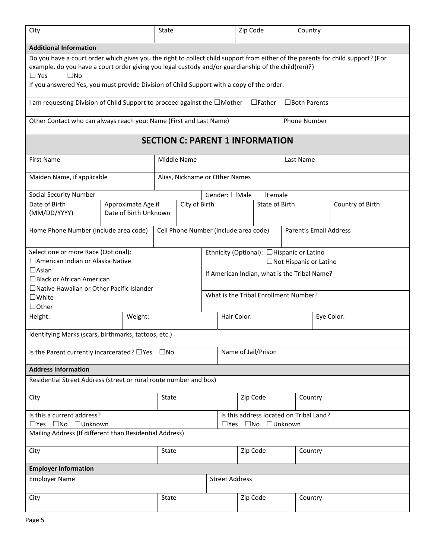| City                                                                                                                                                                                                                                                                                                                                                              |                                             | State |                                        |                                                                      | Zip Code                                                              |                     |           | Country |                  |  |
|-------------------------------------------------------------------------------------------------------------------------------------------------------------------------------------------------------------------------------------------------------------------------------------------------------------------------------------------------------------------|---------------------------------------------|-------|----------------------------------------|----------------------------------------------------------------------|-----------------------------------------------------------------------|---------------------|-----------|---------|------------------|--|
| <b>Additional Information</b>                                                                                                                                                                                                                                                                                                                                     |                                             |       |                                        |                                                                      |                                                                       |                     |           |         |                  |  |
| Do you have a court order which gives you the right to collect child support from either of the parents for child support? (For<br>example, do you have a court order giving you legal custody and/or guardianship of the child(ren)?)<br>$\Box$ Yes<br>$\square$ No<br>If you answered Yes, you must provide Division of Child Support with a copy of the order. |                                             |       |                                        |                                                                      |                                                                       |                     |           |         |                  |  |
| I am requesting Division of Child Support to proceed against the $\Box$ Mother<br>$\Box$ Father<br>$\square$ Both Parents                                                                                                                                                                                                                                         |                                             |       |                                        |                                                                      |                                                                       |                     |           |         |                  |  |
| Other Contact who can always reach you: Name (First and Last Name)<br><b>Phone Number</b>                                                                                                                                                                                                                                                                         |                                             |       |                                        |                                                                      |                                                                       |                     |           |         |                  |  |
|                                                                                                                                                                                                                                                                                                                                                                   |                                             |       | <b>SECTION C: PARENT 1 INFORMATION</b> |                                                                      |                                                                       |                     |           |         |                  |  |
| <b>First Name</b>                                                                                                                                                                                                                                                                                                                                                 |                                             |       | Middle Name                            |                                                                      |                                                                       |                     | Last Name |         |                  |  |
| Maiden Name, if applicable                                                                                                                                                                                                                                                                                                                                        |                                             |       | Alias, Nickname or Other Names         |                                                                      |                                                                       |                     |           |         |                  |  |
| <b>Social Security Number</b>                                                                                                                                                                                                                                                                                                                                     |                                             |       |                                        | Gender: □Male                                                        |                                                                       | $\Box$ Female       |           |         |                  |  |
| Date of Birth<br>(MM/DD/YYYY)                                                                                                                                                                                                                                                                                                                                     | Approximate Age if<br>Date of Birth Unknown |       | City of Birth                          |                                                                      |                                                                       | State of Birth      |           |         | Country of Birth |  |
| Home Phone Number (include area code)                                                                                                                                                                                                                                                                                                                             |                                             |       |                                        |                                                                      | Parent's Email Address<br>Cell Phone Number (include area code)       |                     |           |         |                  |  |
| Select one or more Race (Optional):<br>□ American Indian or Alaska Native<br>$\Box$ Asian                                                                                                                                                                                                                                                                         |                                             |       |                                        | Ethnicity (Optional): □Hispanic or Latino<br>□Not Hispanic or Latino |                                                                       |                     |           |         |                  |  |
| $\Box$ Black or African American<br>□Native Hawaiian or Other Pacific Islander                                                                                                                                                                                                                                                                                    |                                             |       |                                        | If American Indian, what is the Tribal Name?                         |                                                                       |                     |           |         |                  |  |
| $\square$ White<br>$\Box$ Other                                                                                                                                                                                                                                                                                                                                   |                                             |       |                                        | What is the Tribal Enrollment Number?                                |                                                                       |                     |           |         |                  |  |
| Height:                                                                                                                                                                                                                                                                                                                                                           | Weight:                                     |       |                                        |                                                                      | Hair Color:<br>Eye Color:                                             |                     |           |         |                  |  |
| Identifying Marks (scars, birthmarks, tattoos, etc.)                                                                                                                                                                                                                                                                                                              |                                             |       |                                        |                                                                      |                                                                       |                     |           |         |                  |  |
| Is the Parent currently incarcerated? $\Box$ Yes $\Box$ No                                                                                                                                                                                                                                                                                                        |                                             |       |                                        |                                                                      |                                                                       | Name of Jail/Prison |           |         |                  |  |
| <b>Address Information</b>                                                                                                                                                                                                                                                                                                                                        |                                             |       |                                        |                                                                      |                                                                       |                     |           |         |                  |  |
| Residential Street Address (street or rural route number and box)                                                                                                                                                                                                                                                                                                 |                                             |       |                                        |                                                                      |                                                                       |                     |           |         |                  |  |
| City                                                                                                                                                                                                                                                                                                                                                              |                                             | State |                                        |                                                                      | Zip Code<br>Country                                                   |                     |           |         |                  |  |
| Is this a current address?<br>□Yes □No □Unknown                                                                                                                                                                                                                                                                                                                   |                                             |       |                                        |                                                                      | Is this address located on Tribal Land?<br>□No □Unknown<br>$\Box$ Yes |                     |           |         |                  |  |
| Mailing Address (If different than Residential Address)                                                                                                                                                                                                                                                                                                           |                                             |       |                                        |                                                                      |                                                                       |                     |           |         |                  |  |
| State<br>City                                                                                                                                                                                                                                                                                                                                                     |                                             |       |                                        |                                                                      | Zip Code                                                              |                     | Country   |         |                  |  |
| <b>Employer Information</b>                                                                                                                                                                                                                                                                                                                                       |                                             |       |                                        |                                                                      |                                                                       |                     |           |         |                  |  |
| <b>Employer Name</b>                                                                                                                                                                                                                                                                                                                                              |                                             |       |                                        |                                                                      | <b>Street Address</b>                                                 |                     |           |         |                  |  |
| State<br>City                                                                                                                                                                                                                                                                                                                                                     |                                             |       |                                        |                                                                      |                                                                       | Zip Code            |           | Country |                  |  |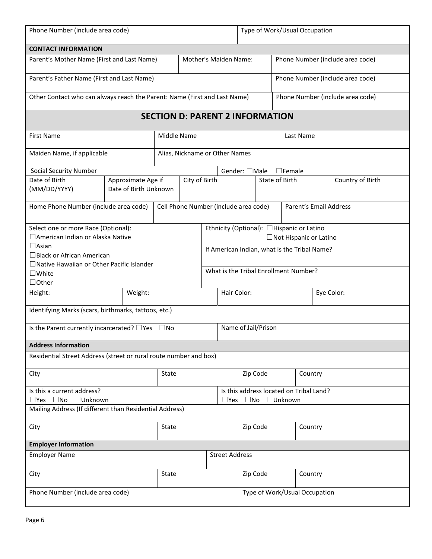| Phone Number (include area code)                                                          |  |                                             |                                       |                                | Type of Work/Usual Occupation                                                           |                                              |                                  |                |            |                        |  |                                  |
|-------------------------------------------------------------------------------------------|--|---------------------------------------------|---------------------------------------|--------------------------------|-----------------------------------------------------------------------------------------|----------------------------------------------|----------------------------------|----------------|------------|------------------------|--|----------------------------------|
| <b>CONTACT INFORMATION</b>                                                                |  |                                             |                                       |                                |                                                                                         |                                              |                                  |                |            |                        |  |                                  |
| Mother's Maiden Name:<br>Parent's Mother Name (First and Last Name)                       |  |                                             |                                       |                                |                                                                                         |                                              | Phone Number (include area code) |                |            |                        |  |                                  |
| Parent's Father Name (First and Last Name)                                                |  |                                             |                                       |                                |                                                                                         |                                              | Phone Number (include area code) |                |            |                        |  |                                  |
| Other Contact who can always reach the Parent: Name (First and Last Name)                 |  |                                             |                                       |                                |                                                                                         |                                              |                                  |                |            |                        |  | Phone Number (include area code) |
| <b>SECTION D: PARENT 2 INFORMATION</b>                                                    |  |                                             |                                       |                                |                                                                                         |                                              |                                  |                |            |                        |  |                                  |
| <b>First Name</b>                                                                         |  |                                             | Middle Name                           |                                |                                                                                         |                                              |                                  |                |            | Last Name              |  |                                  |
| Maiden Name, if applicable                                                                |  |                                             |                                       | Alias, Nickname or Other Names |                                                                                         |                                              |                                  |                |            |                        |  |                                  |
| <b>Social Security Number</b>                                                             |  |                                             |                                       |                                |                                                                                         | Gender: □Male                                |                                  |                |            | $\Box$ Female          |  |                                  |
| Date of Birth<br>(MM/DD/YYYY)                                                             |  | Approximate Age if<br>Date of Birth Unknown |                                       | City of Birth                  |                                                                                         |                                              |                                  | State of Birth |            |                        |  | Country of Birth                 |
| Home Phone Number (include area code)                                                     |  |                                             | Cell Phone Number (include area code) |                                |                                                                                         |                                              |                                  |                |            | Parent's Email Address |  |                                  |
| Select one or more Race (Optional):<br>□ American Indian or Alaska Native<br>$\Box$ Asian |  |                                             |                                       |                                | Ethnicity (Optional): □Hispanic or Latino<br>□Not Hispanic or Latino                    |                                              |                                  |                |            |                        |  |                                  |
| $\Box$ Black or African American<br>$\Box$ Native Hawaiian or Other Pacific Islander      |  |                                             |                                       |                                |                                                                                         | If American Indian, what is the Tribal Name? |                                  |                |            |                        |  |                                  |
| $\square$ White<br>$\Box$ Other                                                           |  |                                             |                                       |                                | What is the Tribal Enrollment Number?                                                   |                                              |                                  |                |            |                        |  |                                  |
| Height:                                                                                   |  | Weight:                                     |                                       |                                |                                                                                         | Hair Color:                                  |                                  |                | Eye Color: |                        |  |                                  |
| Identifying Marks (scars, birthmarks, tattoos, etc.)                                      |  |                                             |                                       |                                |                                                                                         |                                              |                                  |                |            |                        |  |                                  |
| Is the Parent currently incarcerated? $\Box$ Yes $\Box$ No                                |  |                                             |                                       |                                |                                                                                         | Name of Jail/Prison                          |                                  |                |            |                        |  |                                  |
| <b>Address Information</b>                                                                |  |                                             |                                       |                                |                                                                                         |                                              |                                  |                |            |                        |  |                                  |
| Residential Street Address (street or rural route number and box)                         |  |                                             |                                       |                                |                                                                                         |                                              |                                  |                |            |                        |  |                                  |
| City                                                                                      |  |                                             | State                                 |                                |                                                                                         | Zip Code<br>Country                          |                                  |                |            |                        |  |                                  |
| Is this a current address?<br>□Yes □No □Unknown                                           |  |                                             |                                       |                                | Is this address located on Tribal Land?<br>$\square$ Yes $\square$ No $\square$ Unknown |                                              |                                  |                |            |                        |  |                                  |
| Mailing Address (If different than Residential Address)                                   |  |                                             |                                       |                                |                                                                                         |                                              |                                  |                |            |                        |  |                                  |
| State<br>City                                                                             |  |                                             |                                       |                                |                                                                                         | Zip Code<br>Country                          |                                  |                |            |                        |  |                                  |
| <b>Employer Information</b>                                                               |  |                                             |                                       |                                |                                                                                         |                                              |                                  |                |            |                        |  |                                  |
| <b>Employer Name</b>                                                                      |  |                                             |                                       |                                | <b>Street Address</b>                                                                   |                                              |                                  |                |            |                        |  |                                  |
| City<br>State                                                                             |  |                                             |                                       |                                |                                                                                         |                                              | Zip Code<br>Country              |                |            |                        |  |                                  |
| Phone Number (include area code)                                                          |  |                                             |                                       |                                |                                                                                         | Type of Work/Usual Occupation                |                                  |                |            |                        |  |                                  |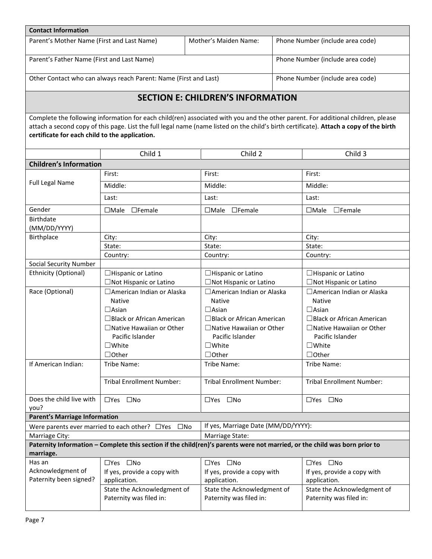| <b>Contact Information</b>                                                                                                                                                                                                                                                                                                   |                                                                                                                            |                                                        |                                  |                                                        |  |  |  |  |  |  |
|------------------------------------------------------------------------------------------------------------------------------------------------------------------------------------------------------------------------------------------------------------------------------------------------------------------------------|----------------------------------------------------------------------------------------------------------------------------|--------------------------------------------------------|----------------------------------|--------------------------------------------------------|--|--|--|--|--|--|
| Parent's Mother Name (First and Last Name)                                                                                                                                                                                                                                                                                   |                                                                                                                            | Mother's Maiden Name:                                  |                                  | Phone Number (include area code)                       |  |  |  |  |  |  |
| Parent's Father Name (First and Last Name)                                                                                                                                                                                                                                                                                   |                                                                                                                            |                                                        | Phone Number (include area code) |                                                        |  |  |  |  |  |  |
| Other Contact who can always reach Parent: Name (First and Last)<br>Phone Number (include area code)                                                                                                                                                                                                                         |                                                                                                                            |                                                        |                                  |                                                        |  |  |  |  |  |  |
| <b>SECTION E: CHILDREN'S INFORMATION</b>                                                                                                                                                                                                                                                                                     |                                                                                                                            |                                                        |                                  |                                                        |  |  |  |  |  |  |
| Complete the following information for each child(ren) associated with you and the other parent. For additional children, please<br>attach a second copy of this page. List the full legal name (name listed on the child's birth certificate). Attach a copy of the birth<br>certificate for each child to the application. |                                                                                                                            |                                                        |                                  |                                                        |  |  |  |  |  |  |
|                                                                                                                                                                                                                                                                                                                              | Child 1                                                                                                                    | Child 2                                                |                                  | Child 3                                                |  |  |  |  |  |  |
| <b>Children's Information</b>                                                                                                                                                                                                                                                                                                |                                                                                                                            |                                                        |                                  |                                                        |  |  |  |  |  |  |
|                                                                                                                                                                                                                                                                                                                              | First:                                                                                                                     | First:                                                 |                                  | First:                                                 |  |  |  |  |  |  |
| <b>Full Legal Name</b>                                                                                                                                                                                                                                                                                                       | Middle:                                                                                                                    | Middle:                                                |                                  | Middle:                                                |  |  |  |  |  |  |
|                                                                                                                                                                                                                                                                                                                              | Last:                                                                                                                      | Last:                                                  |                                  | Last:                                                  |  |  |  |  |  |  |
| Gender                                                                                                                                                                                                                                                                                                                       | $\Box$ Male<br>$\Box$ Female                                                                                               | $\Box$ Male<br>$\Box$ Female                           |                                  | $\Box$ Male<br>$\Box$ Female                           |  |  |  |  |  |  |
| <b>Birthdate</b><br>(MM/DD/YYYY)                                                                                                                                                                                                                                                                                             |                                                                                                                            |                                                        |                                  |                                                        |  |  |  |  |  |  |
| Birthplace                                                                                                                                                                                                                                                                                                                   | City:                                                                                                                      | City:                                                  |                                  | City:                                                  |  |  |  |  |  |  |
|                                                                                                                                                                                                                                                                                                                              | State:                                                                                                                     | State:                                                 |                                  | State:                                                 |  |  |  |  |  |  |
|                                                                                                                                                                                                                                                                                                                              | Country:                                                                                                                   | Country:                                               |                                  | Country:                                               |  |  |  |  |  |  |
| <b>Social Security Number</b>                                                                                                                                                                                                                                                                                                |                                                                                                                            |                                                        |                                  |                                                        |  |  |  |  |  |  |
| Ethnicity (Optional)                                                                                                                                                                                                                                                                                                         | $\Box$ Hispanic or Latino                                                                                                  | $\Box$ Hispanic or Latino                              |                                  | $\Box$ Hispanic or Latino                              |  |  |  |  |  |  |
|                                                                                                                                                                                                                                                                                                                              | □Not Hispanic or Latino                                                                                                    | □Not Hispanic or Latino                                |                                  | □Not Hispanic or Latino                                |  |  |  |  |  |  |
| Race (Optional)                                                                                                                                                                                                                                                                                                              | □ American Indian or Alaska                                                                                                | □ American Indian or Alaska                            |                                  | □ American Indian or Alaska                            |  |  |  |  |  |  |
|                                                                                                                                                                                                                                                                                                                              | <b>Native</b>                                                                                                              | <b>Native</b>                                          |                                  | <b>Native</b>                                          |  |  |  |  |  |  |
|                                                                                                                                                                                                                                                                                                                              | $\Box$ Asian                                                                                                               | $\Box$ Asian                                           |                                  | $\Box$ Asian                                           |  |  |  |  |  |  |
|                                                                                                                                                                                                                                                                                                                              | $\Box$ Black or African American                                                                                           | $\Box$ Black or African American                       |                                  | $\Box$ Black or African American                       |  |  |  |  |  |  |
|                                                                                                                                                                                                                                                                                                                              | $\Box$ Native Hawaiian or Other<br>Pacific Islander                                                                        | $\Box$ Native Hawaiian or Other<br>Pacific Islander    |                                  | $\Box$ Native Hawaiian or Other<br>Pacific Islander    |  |  |  |  |  |  |
|                                                                                                                                                                                                                                                                                                                              | $\square$ White                                                                                                            | $\square$ White                                        |                                  | $\square$ White                                        |  |  |  |  |  |  |
|                                                                                                                                                                                                                                                                                                                              | $\Box$ Other                                                                                                               | $\Box$ Other                                           |                                  | $\Box$ Other                                           |  |  |  |  |  |  |
| If American Indian:                                                                                                                                                                                                                                                                                                          | Tribe Name:                                                                                                                | Tribe Name:                                            |                                  | Tribe Name:                                            |  |  |  |  |  |  |
|                                                                                                                                                                                                                                                                                                                              |                                                                                                                            |                                                        |                                  |                                                        |  |  |  |  |  |  |
|                                                                                                                                                                                                                                                                                                                              | <b>Tribal Enrollment Number:</b>                                                                                           | <b>Tribal Enrollment Number:</b>                       |                                  | <b>Tribal Enrollment Number:</b>                       |  |  |  |  |  |  |
| Does the child live with<br>vou?                                                                                                                                                                                                                                                                                             | $\square$ Yes $\square$ No                                                                                                 | $\Box$ Yes $\Box$ No                                   |                                  | $\square$ Yes $\square$ No                             |  |  |  |  |  |  |
| <b>Parent's Marriage Information</b>                                                                                                                                                                                                                                                                                         |                                                                                                                            |                                                        |                                  |                                                        |  |  |  |  |  |  |
|                                                                                                                                                                                                                                                                                                                              | Were parents ever married to each other? $\square$ Yes $\square$ No                                                        | If yes, Marriage Date (MM/DD/YYYY):                    |                                  |                                                        |  |  |  |  |  |  |
| Marriage City:                                                                                                                                                                                                                                                                                                               |                                                                                                                            | Marriage State:                                        |                                  |                                                        |  |  |  |  |  |  |
| marriage.                                                                                                                                                                                                                                                                                                                    | Paternity Information - Complete this section if the child(ren)'s parents were not married, or the child was born prior to |                                                        |                                  |                                                        |  |  |  |  |  |  |
| Has an                                                                                                                                                                                                                                                                                                                       | □Yes □No                                                                                                                   | □Yes □No                                               |                                  | $\square$ Yes $\square$ No                             |  |  |  |  |  |  |
| Acknowledgment of                                                                                                                                                                                                                                                                                                            | If yes, provide a copy with                                                                                                | If yes, provide a copy with                            |                                  | If yes, provide a copy with                            |  |  |  |  |  |  |
| Paternity been signed?                                                                                                                                                                                                                                                                                                       | application.                                                                                                               | application.                                           |                                  | application.                                           |  |  |  |  |  |  |
|                                                                                                                                                                                                                                                                                                                              | State the Acknowledgment of<br>Paternity was filed in:                                                                     | State the Acknowledgment of<br>Paternity was filed in: |                                  | State the Acknowledgment of<br>Paternity was filed in: |  |  |  |  |  |  |
|                                                                                                                                                                                                                                                                                                                              |                                                                                                                            |                                                        |                                  |                                                        |  |  |  |  |  |  |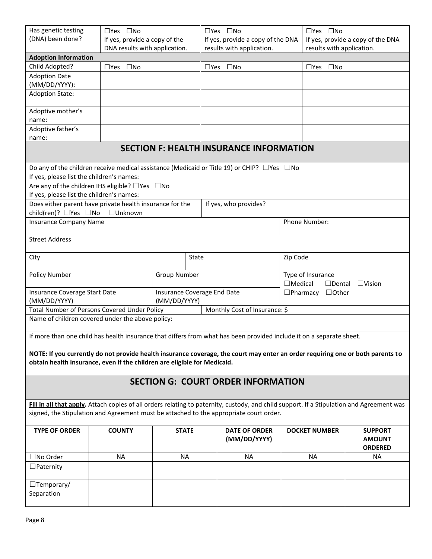| Has genetic testing                                                                    | $\Box$ Yes $\Box$ No                                                     |                             | $\Box$ Yes $\Box$ No                                                                                                                      |                | $\Box$ Yes $\Box$ No              |                |  |  |
|----------------------------------------------------------------------------------------|--------------------------------------------------------------------------|-----------------------------|-------------------------------------------------------------------------------------------------------------------------------------------|----------------|-----------------------------------|----------------|--|--|
| (DNA) been done?                                                                       | If yes, provide a copy of the                                            |                             | If yes, provide a copy of the DNA                                                                                                         |                | If yes, provide a copy of the DNA |                |  |  |
|                                                                                        | DNA results with application.                                            |                             | results with application.                                                                                                                 |                | results with application.         |                |  |  |
| <b>Adoption Information</b>                                                            |                                                                          |                             |                                                                                                                                           |                |                                   |                |  |  |
| Child Adopted?                                                                         | □Yes □No                                                                 |                             | □Yes □No                                                                                                                                  |                | $\square$ No<br>$\Box$ Yes        |                |  |  |
| <b>Adoption Date</b>                                                                   |                                                                          |                             |                                                                                                                                           |                |                                   |                |  |  |
| (MM/DD/YYYY):                                                                          |                                                                          |                             |                                                                                                                                           |                |                                   |                |  |  |
| <b>Adoption State:</b>                                                                 |                                                                          |                             |                                                                                                                                           |                |                                   |                |  |  |
| Adoptive mother's<br>name:                                                             |                                                                          |                             |                                                                                                                                           |                |                                   |                |  |  |
| Adoptive father's                                                                      |                                                                          |                             |                                                                                                                                           |                |                                   |                |  |  |
| name:                                                                                  |                                                                          |                             |                                                                                                                                           |                |                                   |                |  |  |
|                                                                                        |                                                                          |                             | <b>SECTION F: HEALTH INSURANCE INFORMATION</b>                                                                                            |                |                                   |                |  |  |
|                                                                                        |                                                                          |                             |                                                                                                                                           |                |                                   |                |  |  |
|                                                                                        |                                                                          |                             | Do any of the children receive medical assistance (Medicaid or Title 19) or CHIP? $\Box$ Yes $\Box$ No                                    |                |                                   |                |  |  |
| If yes, please list the children's names:                                              |                                                                          |                             |                                                                                                                                           |                |                                   |                |  |  |
|                                                                                        | Are any of the children IHS eligible? $\Box$ Yes $\Box$ No               |                             |                                                                                                                                           |                |                                   |                |  |  |
| If yes, please list the children's names:                                              |                                                                          |                             |                                                                                                                                           |                |                                   |                |  |  |
|                                                                                        | Does either parent have private health insurance for the                 |                             | If yes, who provides?                                                                                                                     |                |                                   |                |  |  |
| child(ren)? □Yes □No                                                                   | □Unknown                                                                 |                             |                                                                                                                                           |                |                                   |                |  |  |
| <b>Insurance Company Name</b>                                                          |                                                                          |                             |                                                                                                                                           |                | Phone Number:                     |                |  |  |
|                                                                                        |                                                                          |                             |                                                                                                                                           |                |                                   |                |  |  |
| <b>Street Address</b>                                                                  |                                                                          |                             |                                                                                                                                           |                |                                   |                |  |  |
| City                                                                                   |                                                                          | State                       |                                                                                                                                           | Zip Code       |                                   |                |  |  |
|                                                                                        |                                                                          |                             |                                                                                                                                           |                |                                   |                |  |  |
| <b>Policy Number</b>                                                                   |                                                                          | <b>Group Number</b>         |                                                                                                                                           |                | Type of Insurance                 |                |  |  |
|                                                                                        |                                                                          |                             |                                                                                                                                           | $\Box$ Medical | $\Box$ Dental                     | $\Box$ Vision  |  |  |
| Insurance Coverage Start Date                                                          |                                                                          | Insurance Coverage End Date |                                                                                                                                           |                | $\Box$ Pharmacy $\Box$ Other      |                |  |  |
| (MM/DD/YYYY)                                                                           |                                                                          | (MM/DD/YYYY)                |                                                                                                                                           |                |                                   |                |  |  |
|                                                                                        | Total Number of Persons Covered Under Policy                             |                             | Monthly Cost of Insurance: \$                                                                                                             |                |                                   |                |  |  |
|                                                                                        | Name of children covered under the above policy:                         |                             |                                                                                                                                           |                |                                   |                |  |  |
|                                                                                        |                                                                          |                             | If more than one child has health insurance that differs from what has been provided include it on a separate sheet.                      |                |                                   |                |  |  |
|                                                                                        |                                                                          |                             |                                                                                                                                           |                |                                   |                |  |  |
|                                                                                        |                                                                          |                             | NOTE: If you currently do not provide health insurance coverage, the court may enter an order requiring one or both parents to            |                |                                   |                |  |  |
|                                                                                        | obtain health insurance, even if the children are eligible for Medicaid. |                             |                                                                                                                                           |                |                                   |                |  |  |
|                                                                                        |                                                                          |                             |                                                                                                                                           |                |                                   |                |  |  |
|                                                                                        |                                                                          |                             | <b>SECTION G: COURT ORDER INFORMATION</b>                                                                                                 |                |                                   |                |  |  |
|                                                                                        |                                                                          |                             |                                                                                                                                           |                |                                   |                |  |  |
|                                                                                        |                                                                          |                             |                                                                                                                                           |                |                                   |                |  |  |
|                                                                                        |                                                                          |                             | Fill in all that apply. Attach copies of all orders relating to paternity, custody, and child support. If a Stipulation and Agreement was |                |                                   |                |  |  |
| signed, the Stipulation and Agreement must be attached to the appropriate court order. |                                                                          |                             |                                                                                                                                           |                |                                   |                |  |  |
| <b>TYPE OF ORDER</b>                                                                   | <b>COUNTY</b>                                                            | <b>STATE</b>                | <b>DATE OF ORDER</b>                                                                                                                      |                | <b>DOCKET NUMBER</b>              | <b>SUPPORT</b> |  |  |
|                                                                                        |                                                                          |                             | (MM/DD/YYYY)                                                                                                                              |                |                                   | <b>AMOUNT</b>  |  |  |
|                                                                                        |                                                                          |                             |                                                                                                                                           |                |                                   | <b>ORDERED</b> |  |  |
| □No Order                                                                              | <b>NA</b>                                                                | <b>NA</b>                   | <b>NA</b>                                                                                                                                 |                | NA.                               | <b>NA</b>      |  |  |
| $\Box$ Paternity                                                                       |                                                                          |                             |                                                                                                                                           |                |                                   |                |  |  |
|                                                                                        |                                                                          |                             |                                                                                                                                           |                |                                   |                |  |  |
| $\Box$ Temporary/                                                                      |                                                                          |                             |                                                                                                                                           |                |                                   |                |  |  |
| Separation                                                                             |                                                                          |                             |                                                                                                                                           |                |                                   |                |  |  |
|                                                                                        |                                                                          |                             |                                                                                                                                           |                |                                   |                |  |  |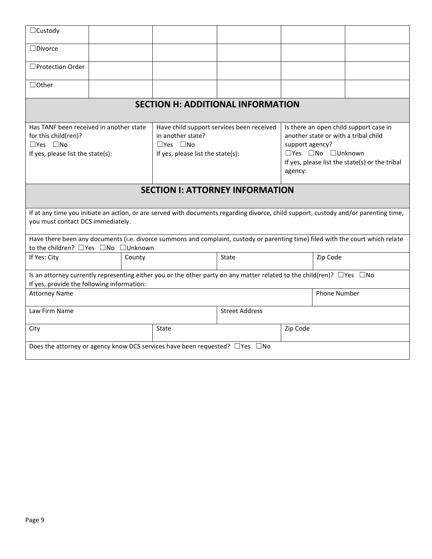| $\Box$ Custody                                                                                                                                                                  |  |        |                                                                                |                                                                                                                                      |                                                                                                                                                                                     |  |  |  |
|---------------------------------------------------------------------------------------------------------------------------------------------------------------------------------|--|--------|--------------------------------------------------------------------------------|--------------------------------------------------------------------------------------------------------------------------------------|-------------------------------------------------------------------------------------------------------------------------------------------------------------------------------------|--|--|--|
| $\Box$ Divorce                                                                                                                                                                  |  |        |                                                                                |                                                                                                                                      |                                                                                                                                                                                     |  |  |  |
| □Protection Order                                                                                                                                                               |  |        |                                                                                |                                                                                                                                      |                                                                                                                                                                                     |  |  |  |
| $\Box$ Other                                                                                                                                                                    |  |        |                                                                                |                                                                                                                                      |                                                                                                                                                                                     |  |  |  |
|                                                                                                                                                                                 |  |        |                                                                                | <b>SECTION H: ADDITIONAL INFORMATION</b>                                                                                             |                                                                                                                                                                                     |  |  |  |
| Has TANF been received in another state<br>for this child(ren)?<br>$\Box$ Yes $\Box$ No<br>If yes, please list the state(s):                                                    |  |        | in another state?<br>$\Box$ Yes $\Box$ No<br>If yes, please list the state(s): | Have child support services been received                                                                                            | Is there an open child support case in<br>another state or with a tribal child<br>support agency?<br>□Yes □No □Unknown<br>If yes, please list the state(s) or the tribal<br>agency: |  |  |  |
| <b>SECTION I: ATTORNEY INFORMATION</b>                                                                                                                                          |  |        |                                                                                |                                                                                                                                      |                                                                                                                                                                                     |  |  |  |
| you must contact DCS immediately.                                                                                                                                               |  |        |                                                                                | If at any time you initiate an action, or are served with documents regarding divorce, child support, custody and/or parenting time, |                                                                                                                                                                                     |  |  |  |
| to the children? □ Yes □ No □ Unknown                                                                                                                                           |  |        |                                                                                | Have there been any documents (i.e. divorce summons and complaint, custody or parenting time) filed with the court which relate      |                                                                                                                                                                                     |  |  |  |
| If Yes: City                                                                                                                                                                    |  | County |                                                                                | State                                                                                                                                | Zip Code                                                                                                                                                                            |  |  |  |
| Is an attorney currently representing either you or the other party on any matter related to the child(ren)? $\Box$ Yes $\Box$ No<br>If yes, provide the following information: |  |        |                                                                                |                                                                                                                                      |                                                                                                                                                                                     |  |  |  |
| <b>Phone Number</b><br><b>Attorney Name</b>                                                                                                                                     |  |        |                                                                                |                                                                                                                                      |                                                                                                                                                                                     |  |  |  |
| Law Firm Name<br><b>Street Address</b>                                                                                                                                          |  |        |                                                                                |                                                                                                                                      |                                                                                                                                                                                     |  |  |  |
| City                                                                                                                                                                            |  |        | State                                                                          |                                                                                                                                      | Zip Code                                                                                                                                                                            |  |  |  |
| Does the attorney or agency know DCS services have been requested? $\Box$ Yes $\Box$ No                                                                                         |  |        |                                                                                |                                                                                                                                      |                                                                                                                                                                                     |  |  |  |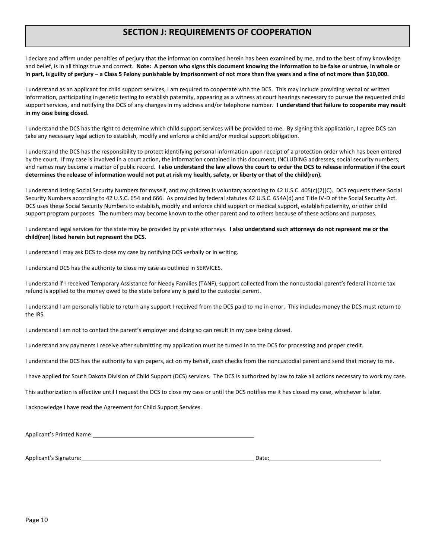# **SECTION J: REQUIREMENTS OF COOPERATION**

I declare and affirm under penalties of perjury that the information contained herein has been examined by me, and to the best of my knowledge and belief, is in all things true and correct. **Note: A person who signs this document knowing the information to be false or untrue, in whole or in part, is guilty of perjury – a Class 5 Felony punishable by imprisonment of not more than five years and a fine of not more than \$10,000.**

I understand as an applicant for child support services, I am required to cooperate with the DCS. This may include providing verbal or written information, participating in genetic testing to establish paternity, appearing as a witness at court hearings necessary to pursue the requested child support services, and notifying the DCS of any changes in my address and/or telephone number. **I understand that failure to cooperate may result in my case being closed.**

I understand the DCS has the right to determine which child support services will be provided to me. By signing this application, I agree DCS can take any necessary legal action to establish, modify and enforce a child and/or medical support obligation.

I understand the DCS has the responsibility to protect identifying personal information upon receipt of a protection order which has been entered by the court. If my case is involved in a court action, the information contained in this document, INCLUDING addresses, social security numbers, and names may become a matter of public record. **I also understand the law allows the court to order the DCS to release information if the court determines the release of information would not put at risk my health, safety, or liberty or that of the child(ren).**

I understand listing Social Security Numbers for myself, and my children is voluntary according to 42 U.S.C. 405(c)(2)(C). DCS requests these Social Security Numbers according to 42 U.S.C. 654 and 666. As provided by federal statutes 42 U.S.C. 654A(d) and Title IV-D of the Social Security Act. DCS uses these Social Security Numbers to establish, modify and enforce child support or medical support, establish paternity, or other child support program purposes. The numbers may become known to the other parent and to others because of these actions and purposes.

I understand legal services for the state may be provided by private attorneys. **I also understand such attorneys do not represent me or the child(ren) listed herein but represent the DCS.**

I understand I may ask DCS to close my case by notifying DCS verbally or in writing.

I understand DCS has the authority to close my case as outlined in SERVICES.

I understand if I received Temporary Assistance for Needy Families (TANF), support collected from the noncustodial parent's federal income tax refund is applied to the money owed to the state before any is paid to the custodial parent.

I understand I am personally liable to return any support I received from the DCS paid to me in error. This includes money the DCS must return to the IRS.

I understand I am not to contact the parent's employer and doing so can result in my case being closed.

I understand any payments I receive after submitting my application must be turned in to the DCS for processing and proper credit.

I understand the DCS has the authority to sign papers, act on my behalf, cash checks from the noncustodial parent and send that money to me.

I have applied for South Dakota Division of Child Support (DCS) services. The DCS is authorized by law to take all actions necessary to work my case.

This authorization is effective until I request the DCS to close my case or until the DCS notifies me it has closed my case, whichever is later.

I acknowledge I have read the Agreement for Child Support Services.

Applicant's Printed Name:

Applicant's Signature: Date: Date: Date: Date: Date: Date: Date: Date: Date: Date: Date: Date: Date: Date: Date: Date: Date: Date: Date: Date: Date: Date: Date: Date: Date: Date: Date: Date: Date: Date: Date: Date: Date: D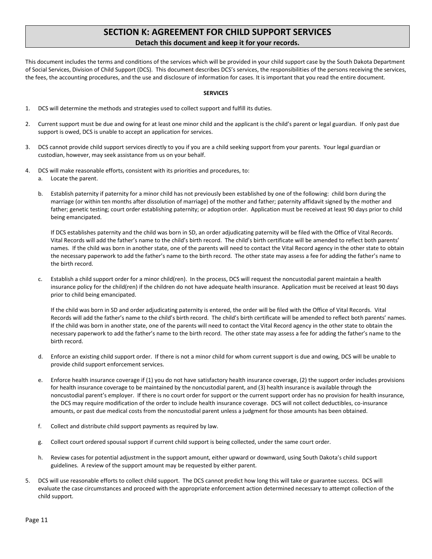# **SECTION K: AGREEMENT FOR CHILD SUPPORT SERVICES Detach this document and keep it for your records.**

This document includes the terms and conditions of the services which will be provided in your child support case by the South Dakota Department of Social Services, Division of Child Support (DCS). This document describes DCS's services, the responsibilities of the persons receiving the services, the fees, the accounting procedures, and the use and disclosure of information for cases. It is important that you read the entire document.

### **SERVICES**

- 1. DCS will determine the methods and strategies used to collect support and fulfill its duties.
- 2. Current support must be due and owing for at least one minor child and the applicant is the child's parent or legal guardian. If only past due support is owed, DCS is unable to accept an application for services.
- 3. DCS cannot provide child support services directly to you if you are a child seeking support from your parents. Your legal guardian or custodian, however, may seek assistance from us on your behalf.
- 4. DCS will make reasonable efforts, consistent with its priorities and procedures, to:
	- a. Locate the parent.
	- b. Establish paternity if paternity for a minor child has not previously been established by one of the following: child born during the marriage (or within ten months after dissolution of marriage) of the mother and father; paternity affidavit signed by the mother and father; genetic testing; court order establishing paternity; or adoption order. Application must be received at least 90 days prior to child being emancipated.

If DCS establishes paternity and the child was born in SD, an order adjudicating paternity will be filed with the Office of Vital Records. Vital Records will add the father's name to the child's birth record. The child's birth certificate will be amended to reflect both parents' names. If the child was born in another state, one of the parents will need to contact the Vital Record agency in the other state to obtain the necessary paperwork to add the father's name to the birth record. The other state may assess a fee for adding the father's name to the birth record.

c. Establish a child support order for a minor child(ren). In the process, DCS will request the noncustodial parent maintain a health insurance policy for the child(ren) if the children do not have adequate health insurance. Application must be received at least 90 days prior to child being emancipated.

If the child was born in SD and order adjudicating paternity is entered, the order will be filed with the Office of Vital Records. Vital Records will add the father's name to the child's birth record. The child's birth certificate will be amended to reflect both parents' names. If the child was born in another state, one of the parents will need to contact the Vital Record agency in the other state to obtain the necessary paperwork to add the father's name to the birth record. The other state may assess a fee for adding the father's name to the birth record.

- d. Enforce an existing child support order. If there is not a minor child for whom current support is due and owing, DCS will be unable to provide child support enforcement services.
- e. Enforce health insurance coverage if (1) you do not have satisfactory health insurance coverage, (2) the support order includes provisions for health insurance coverage to be maintained by the noncustodial parent, and (3) health insurance is available through the noncustodial parent's employer. If there is no court order for support or the current support order has no provision for health insurance, the DCS may require modification of the order to include health insurance coverage. DCS will not collect deductibles, co-insurance amounts, or past due medical costs from the noncustodial parent unless a judgment for those amounts has been obtained.
- f. Collect and distribute child support payments as required by law.
- g. Collect court ordered spousal support if current child support is being collected, under the same court order.
- h. Review cases for potential adjustment in the support amount, either upward or downward, using South Dakota's child support guidelines. A review of the support amount may be requested by either parent.
- 5. DCS will use reasonable efforts to collect child support. The DCS cannot predict how long this will take or guarantee success. DCS will evaluate the case circumstances and proceed with the appropriate enforcement action determined necessary to attempt collection of the child support.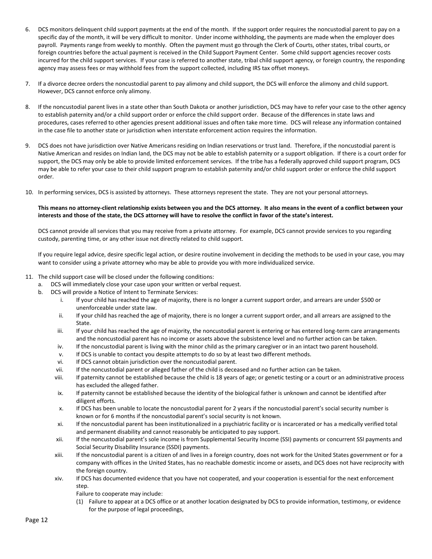- 6. DCS monitors delinquent child support payments at the end of the month. If the support order requires the noncustodial parent to pay on a specific day of the month, it will be very difficult to monitor. Under income withholding, the payments are made when the employer does payroll. Payments range from weekly to monthly. Often the payment must go through the Clerk of Courts, other states, tribal courts, or foreign countries before the actual payment is received in the Child Support Payment Center. Some child support agencies recover costs incurred for the child support services. If your case is referred to another state, tribal child support agency, or foreign country, the responding agency may assess fees or may withhold fees from the support collected, including IRS tax offset moneys.
- 7. If a divorce decree orders the noncustodial parent to pay alimony and child support, the DCS will enforce the alimony and child support. However, DCS cannot enforce only alimony.
- 8. If the noncustodial parent lives in a state other than South Dakota or another jurisdiction, DCS may have to refer your case to the other agency to establish paternity and/or a child support order or enforce the child support order. Because of the differences in state laws and procedures, cases referred to other agencies present additional issues and often take more time. DCS will release any information contained in the case file to another state or jurisdiction when interstate enforcement action requires the information.
- 9. DCS does not have jurisdiction over Native Americans residing on Indian reservations or trust land. Therefore, if the noncustodial parent is Native American and resides on Indian land, the DCS may not be able to establish paternity or a support obligation. If there is a court order for support, the DCS may only be able to provide limited enforcement services. If the tribe has a federally approved child support program, DCS may be able to refer your case to their child support program to establish paternity and/or child support order or enforce the child support order.
- 10. In performing services, DCS is assisted by attorneys. These attorneys represent the state. They are not your personal attorneys.

### **This means no attorney-client relationship exists between you and the DCS attorney. It also means in the event of a conflict between your interests and those of the state, the DCS attorney will have to resolve the conflict in favor of the state's interest.**

DCS cannot provide all services that you may receive from a private attorney. For example, DCS cannot provide services to you regarding custody, parenting time, or any other issue not directly related to child support.

If you require legal advice, desire specific legal action, or desire routine involvement in deciding the methods to be used in your case, you may want to consider using a private attorney who may be able to provide you with more individualized service.

- 11. The child support case will be closed under the following conditions:
	- a. DCS will immediately close your case upon your written or verbal request.
	- b. DCS will provide a Notice of Intent to Terminate Services:
		- i. If your child has reached the age of majority, there is no longer a current support order, and arrears are under \$500 or unenforceable under state law.
		- ii. If your child has reached the age of majority, there is no longer a current support order, and all arrears are assigned to the State.
		- iii. If your child has reached the age of majority, the noncustodial parent is entering or has entered long-term care arrangements and the noncustodial parent has no income or assets above the subsistence level and no further action can be taken.
		- iv. If the noncustodial parent is living with the minor child as the primary caregiver or in an intact two parent household.
		- v. If DCS is unable to contact you despite attempts to do so by at least two different methods.
		- vi. If DCS cannot obtain jurisdiction over the noncustodial parent.
		- vii. If the noncustodial parent or alleged father of the child is deceased and no further action can be taken.
		- viii. If paternity cannot be established because the child is 18 years of age; or genetic testing or a court or an administrative process has excluded the alleged father.
		- ix. If paternity cannot be established because the identity of the biological father is unknown and cannot be identified after diligent efforts.
		- x. If DCS has been unable to locate the noncustodial parent for 2 years if the noncustodial parent's social security number is known or for 6 months if the noncustodial parent's social security is not known.
		- xi. If the noncustodial parent has been institutionalized in a psychiatric facility or is incarcerated or has a medically verified total and permanent disability and cannot reasonably be anticipated to pay support.
		- xii. If the noncustodial parent's sole income is from Supplemental Security Income (SSI) payments or concurrent SSI payments and Social Security Disability Insurance (SSDI) payments.
		- xiii. If the noncustodial parent is a citizen of and lives in a foreign country, does not work for the United States government or for a company with offices in the United States, has no reachable domestic income or assets, and DCS does not have reciprocity with the foreign country.
		- xiv. If DCS has documented evidence that you have not cooperated, and your cooperation is essential for the next enforcement step.
			- Failure to cooperate may include:
			- (1) Failure to appear at a DCS office or at another location designated by DCS to provide information, testimony, or evidence for the purpose of legal proceedings,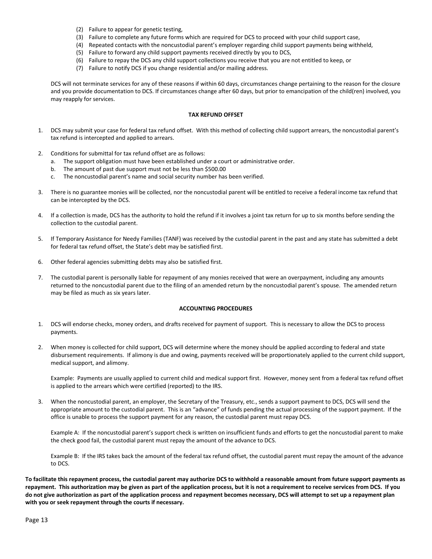- (2) Failure to appear for genetic testing,
- (3) Failure to complete any future forms which are required for DCS to proceed with your child support case,
- (4) Repeated contacts with the noncustodial parent's employer regarding child support payments being withheld,
- (5) Failure to forward any child support payments received directly by you to DCS,
- (6) Failure to repay the DCS any child support collections you receive that you are not entitled to keep, or
- (7) Failure to notify DCS if you change residential and/or mailing address.

DCS will not terminate services for any of these reasons if within 60 days, circumstances change pertaining to the reason for the closure and you provide documentation to DCS. If circumstances change after 60 days, but prior to emancipation of the child(ren) involved, you may reapply for services.

#### **TAX REFUND OFFSET**

- 1. DCS may submit your case for federal tax refund offset. With this method of collecting child support arrears, the noncustodial parent's tax refund is intercepted and applied to arrears.
- 2. Conditions for submittal for tax refund offset are as follows:
	- a. The support obligation must have been established under a court or administrative order.
	- b. The amount of past due support must not be less than \$500.00
	- c. The noncustodial parent's name and social security number has been verified.
- 3. There is no guarantee monies will be collected, nor the noncustodial parent will be entitled to receive a federal income tax refund that can be intercepted by the DCS.
- 4. If a collection is made, DCS has the authority to hold the refund if it involves a joint tax return for up to six months before sending the collection to the custodial parent.
- 5. If Temporary Assistance for Needy Families (TANF) was received by the custodial parent in the past and any state has submitted a debt for federal tax refund offset, the State's debt may be satisfied first.
- 6. Other federal agencies submitting debts may also be satisfied first.
- 7. The custodial parent is personally liable for repayment of any monies received that were an overpayment, including any amounts returned to the noncustodial parent due to the filing of an amended return by the noncustodial parent's spouse. The amended return may be filed as much as six years later.

#### **ACCOUNTING PROCEDURES**

- 1. DCS will endorse checks, money orders, and drafts received for payment of support. This is necessary to allow the DCS to process payments.
- 2. When money is collected for child support, DCS will determine where the money should be applied according to federal and state disbursement requirements. If alimony is due and owing, payments received will be proportionately applied to the current child support, medical support, and alimony.

Example: Payments are usually applied to current child and medical support first. However, money sent from a federal tax refund offset is applied to the arrears which were certified (reported) to the IRS.

3. When the noncustodial parent, an employer, the Secretary of the Treasury, etc., sends a support payment to DCS, DCS will send the appropriate amount to the custodial parent. This is an "advance" of funds pending the actual processing of the support payment. If the office is unable to process the support payment for any reason, the custodial parent must repay DCS.

Example A: If the noncustodial parent's support check is written on insufficient funds and efforts to get the noncustodial parent to make the check good fail, the custodial parent must repay the amount of the advance to DCS.

Example B: If the IRS takes back the amount of the federal tax refund offset, the custodial parent must repay the amount of the advance to DCS.

**To facilitate this repayment process, the custodial parent may authorize DCS to withhold a reasonable amount from future support payments as repayment. This authorization may be given as part of the application process, but it is not a requirement to receive services from DCS. If you do not give authorization as part of the application process and repayment becomes necessary, DCS will attempt to set up a repayment plan with you or seek repayment through the courts if necessary.**